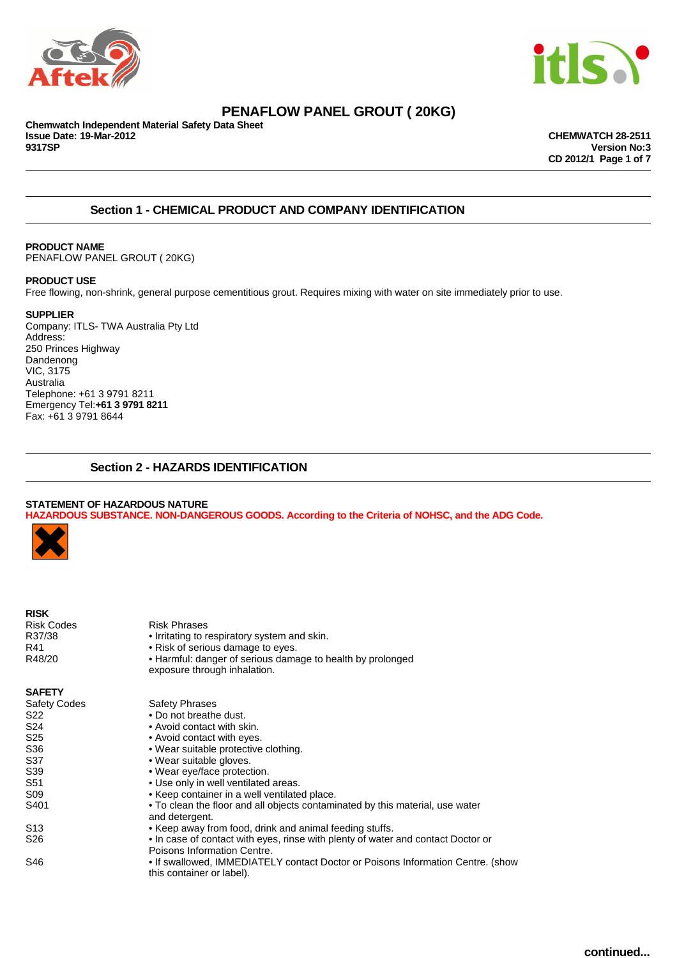



## **PENAFLOW PANEL GROUT ( 20KG)**

**Chemwatch Independent Material Safety Data Sheet Issue Date: 19-Mar-2012 CHEMWATCH 28-2511 9317SP Version No:3**

**CD 2012/1 Page 1 of 7**

## **Section 1 - CHEMICAL PRODUCT AND COMPANY IDENTIFICATION**

#### **PRODUCT NAME** PENAFLOW PANEL GROUT ( 20KG)

#### **PRODUCT USE**

Free flowing, non-shrink, general purpose cementitious grout. Requires mixing with water on site immediately prior to use.

#### **SUPPLIER**

Company: ITLS- TWA Australia Pty Ltd Address: 250 Princes Highway Dandenong VIC, 3175 Australia Telephone: +61 3 9791 8211 Emergency Tel:**+61 3 9791 8211** Fax: +61 3 9791 8644

## **Section 2 - HAZARDS IDENTIFICATION**

#### **STATEMENT OF HAZARDOUS NATURE HAZARDOUS SUBSTANCE. NON-DANGEROUS GOODS. According to the Criteria of NOHSC, and the ADG Code.**



| <b>RISK</b>       |                                                                                            |
|-------------------|--------------------------------------------------------------------------------------------|
| <b>Risk Codes</b> | Risk Phrases                                                                               |
| R37/38            | • Irritating to respiratory system and skin.                                               |
| R41               | • Risk of serious damage to eyes.                                                          |
| R48/20            | • Harmful: danger of serious damage to health by prolonged<br>exposure through inhalation. |

**SAFETY**

| <b>Safety Codes</b> | <b>Safety Phrases</b>                                                                                        |
|---------------------|--------------------------------------------------------------------------------------------------------------|
| S22                 | • Do not breathe dust.                                                                                       |
| S24                 | • Avoid contact with skin.                                                                                   |
| S <sub>25</sub>     | • Avoid contact with eyes.                                                                                   |
| S36                 | • Wear suitable protective clothing.                                                                         |
| S37                 | • Wear suitable gloves.                                                                                      |
| S39                 | • Wear eye/face protection.                                                                                  |
| S51                 | • Use only in well ventilated areas.                                                                         |
| S09                 | • Keep container in a well ventilated place.                                                                 |
| S401                | • To clean the floor and all objects contaminated by this material, use water<br>and detergent.              |
| S <sub>13</sub>     | • Keep away from food, drink and animal feeding stuffs.                                                      |
| S26                 | • In case of contact with eyes, rinse with plenty of water and contact Doctor or                             |
|                     | Poisons Information Centre.                                                                                  |
| S46                 | • If swallowed, IMMEDIATELY contact Doctor or Poisons Information Centre. (show<br>this container or label). |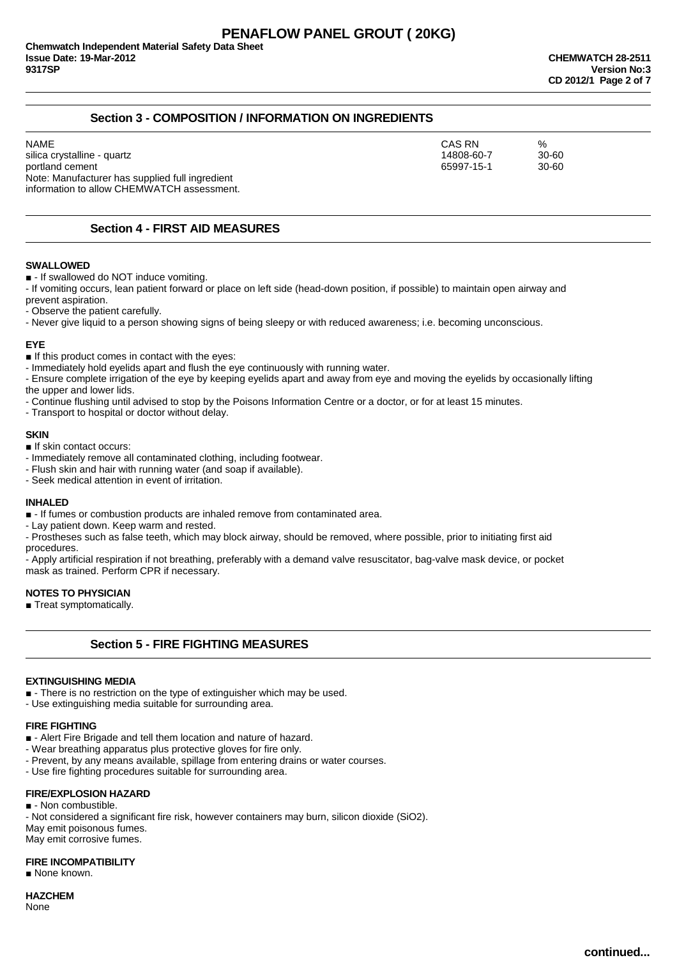## **Section 3 - COMPOSITION / INFORMATION ON INGREDIENTS**

NAME CAS RN % silica crystalline - quartz 30-60<br>
portland cement 30-60<br>
portland cement 30-60 portland cement Note: Manufacturer has supplied full ingredient information to allow CHEMWATCH assessment.

## **Section 4 - FIRST AID MEASURES**

#### **SWALLOWED**

■ - If swallowed do NOT induce vomiting.

- If vomiting occurs, lean patient forward or place on left side (head-down position, if possible) to maintain open airway and prevent aspiration.

- Observe the patient carefully.

- Never give liquid to a person showing signs of being sleepy or with reduced awareness; i.e. becoming unconscious.

#### **EYE**

■ If this product comes in contact with the eyes:

- Immediately hold eyelids apart and flush the eye continuously with running water.

- Ensure complete irrigation of the eye by keeping eyelids apart and away from eye and moving the eyelids by occasionally lifting the upper and lower lids.

- Continue flushing until advised to stop by the Poisons Information Centre or a doctor, or for at least 15 minutes.

- Transport to hospital or doctor without delay.

#### **SKIN**

■ If skin contact occurs:

- Immediately remove all contaminated clothing, including footwear.

- Flush skin and hair with running water (and soap if available).

- Seek medical attention in event of irritation.

#### **INHALED**

■ - If fumes or combustion products are inhaled remove from contaminated area.

- Lay patient down. Keep warm and rested.

- Prostheses such as false teeth, which may block airway, should be removed, where possible, prior to initiating first aid procedures.

- Apply artificial respiration if not breathing, preferably with a demand valve resuscitator, bag-valve mask device, or pocket mask as trained. Perform CPR if necessary.

#### **NOTES TO PHYSICIAN**

■ Treat symptomatically.

## **Section 5 - FIRE FIGHTING MEASURES**

#### **EXTINGUISHING MEDIA**

■ - There is no restriction on the type of extinguisher which may be used.

- Use extinguishing media suitable for surrounding area.

#### **FIRE FIGHTING**

■ - Alert Fire Brigade and tell them location and nature of hazard.

- Wear breathing apparatus plus protective gloves for fire only.

- Prevent, by any means available, spillage from entering drains or water courses.

- Use fire fighting procedures suitable for surrounding area.

#### **FIRE/EXPLOSION HAZARD**

■ - Non combustible. - Not considered a significant fire risk, however containers may burn, silicon dioxide (SiO2). May emit poisonous fumes. May emit corrosive fumes.

#### **FIRE INCOMPATIBILITY**

■ None known.

# **HAZCHEM**

None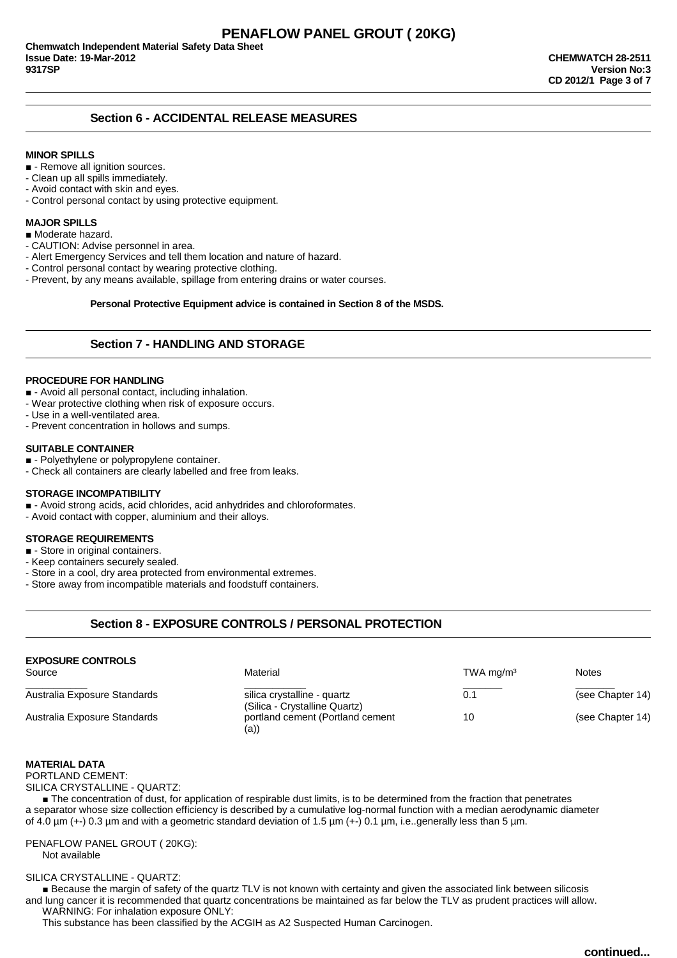## **Section 6 - ACCIDENTAL RELEASE MEASURES**

#### **MINOR SPILLS**

- - Remove all ignition sources.
- Clean up all spills immediately.
- Avoid contact with skin and eyes.
- Control personal contact by using protective equipment.

#### **MAJOR SPILLS**

- Moderate hazard.
- CAUTION: Advise personnel in area.
- Alert Emergency Services and tell them location and nature of hazard.
- Control personal contact by wearing protective clothing.
- Prevent, by any means available, spillage from entering drains or water courses.

**Personal Protective Equipment advice is contained in Section 8 of the MSDS.**

#### **Section 7 - HANDLING AND STORAGE**

#### **PROCEDURE FOR HANDLING**

- - Avoid all personal contact, including inhalation.
- Wear protective clothing when risk of exposure occurs.
- Use in a well-ventilated area.
- Prevent concentration in hollows and sumps.

#### **SUITABLE CONTAINER**

- - Polyethylene or polypropylene container.
- Check all containers are clearly labelled and free from leaks.

#### **STORAGE INCOMPATIBILITY**

- - Avoid strong acids, acid chlorides, acid anhydrides and chloroformates.
- Avoid contact with copper, aluminium and their alloys.

#### **STORAGE REQUIREMENTS**

- - Store in original containers.
- Keep containers securely sealed.
- Store in a cool, dry area protected from environmental extremes.
- Store away from incompatible materials and foodstuff containers.

## **Section 8 - EXPOSURE CONTROLS / PERSONAL PROTECTION**

| <b>EXPOSURE CONTROLS</b><br>Source | Material                                 | TWA mg/m <sup>3</sup> | <b>Notes</b>     |
|------------------------------------|------------------------------------------|-----------------------|------------------|
| Australia Exposure Standards       | silica crystalline - quartz              | 0.1                   | (see Chapter 14) |
|                                    | (Silica - Crystalline Quartz)            |                       |                  |
| Australia Exposure Standards       | portland cement (Portland cement<br>(a)) | 10                    | (see Chapter 14) |

#### **MATERIAL DATA**

PORTLAND CEMENT:

SILICA CRYSTALLINE - QUARTZ:

■ The concentration of dust, for application of respirable dust limits, is to be determined from the fraction that penetrates a separator whose size collection efficiency is described by a cumulative log-normal function with a median aerodynamic diameter of 4.0 µm (+-) 0.3 µm and with a geometric standard deviation of 1.5 µm (+-) 0.1 µm, i.e..generally less than 5 µm.

PENAFLOW PANEL GROUT ( 20KG): Not available

#### SILICA CRYSTALLINE - QUARTZ:

■ Because the margin of safety of the quartz TLV is not known with certainty and given the associated link between silicosis and lung cancer it is recommended that quartz concentrations be maintained as far below the TLV as prudent practices will allow. WARNING: For inhalation exposure ONLY:

This substance has been classified by the ACGIH as A2 Suspected Human Carcinogen.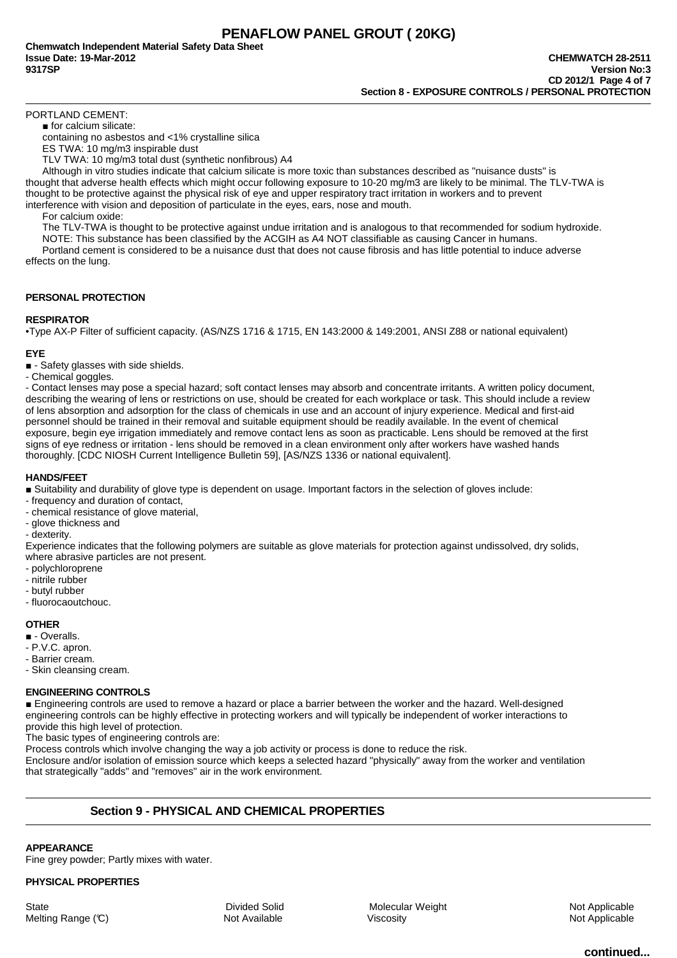PORTLAND CEMENT:

■ for calcium silicate:

containing no asbestos and <1% crystalline silica

ES TWA: 10 mg/m3 inspirable dust

TLV TWA: 10 mg/m3 total dust (synthetic nonfibrous) A4

Although in vitro studies indicate that calcium silicate is more toxic than substances described as "nuisance dusts" is thought that adverse health effects which might occur following exposure to 10-20 mg/m3 are likely to be minimal. The TLV-TWA is thought to be protective against the physical risk of eye and upper respiratory tract irritation in workers and to prevent interference with vision and deposition of particulate in the eyes, ears, nose and mouth.

For calcium oxide:

The TLV-TWA is thought to be protective against undue irritation and is analogous to that recommended for sodium hydroxide.

NOTE: This substance has been classified by the ACGIH as A4 NOT classifiable as causing Cancer in humans. Portland cement is considered to be a nuisance dust that does not cause fibrosis and has little potential to induce adverse

effects on the lung.

#### **PERSONAL PROTECTION**

#### **RESPIRATOR**

•Type AX-P Filter of sufficient capacity. (AS/NZS 1716 & 1715, EN 143:2000 & 149:2001, ANSI Z88 or national equivalent)

#### **EYE**

■ - Safety glasses with side shields.

- Chemical goggles.

- Contact lenses may pose a special hazard; soft contact lenses may absorb and concentrate irritants. A written policy document, describing the wearing of lens or restrictions on use, should be created for each workplace or task. This should include a review of lens absorption and adsorption for the class of chemicals in use and an account of injury experience. Medical and first-aid personnel should be trained in their removal and suitable equipment should be readily available. In the event of chemical exposure, begin eye irrigation immediately and remove contact lens as soon as practicable. Lens should be removed at the first signs of eye redness or irritation - lens should be removed in a clean environment only after workers have washed hands thoroughly. [CDC NIOSH Current Intelligence Bulletin 59], [AS/NZS 1336 or national equivalent].

#### **HANDS/FEET**

■ Suitability and durability of glove type is dependent on usage. Important factors in the selection of gloves include:

- frequency and duration of contact,
- chemical resistance of glove material,
- glove thickness and

- dexterity.

Experience indicates that the following polymers are suitable as glove materials for protection against undissolved, dry solids, where abrasive particles are not present.

- polychloroprene
- nitrile rubber
- butyl rubber
- fluorocaoutchouc.

#### **OTHER**

■ - Overalls.

- P.V.C. apron.
- Barrier cream.
- Skin cleansing cream.

#### **ENGINEERING CONTROLS**

■ Engineering controls are used to remove a hazard or place a barrier between the worker and the hazard. Well-designed engineering controls can be highly effective in protecting workers and will typically be independent of worker interactions to provide this high level of protection.

The basic types of engineering controls are:

Process controls which involve changing the way a job activity or process is done to reduce the risk.

Enclosure and/or isolation of emission source which keeps a selected hazard "physically" away from the worker and ventilation that strategically "adds" and "removes" air in the work environment.

## **Section 9 - PHYSICAL AND CHEMICAL PROPERTIES**

**APPEARANCE**

Fine grey powder; Partly mixes with water.

#### **PHYSICAL PROPERTIES**

State **State Example 3** State Divided Solid Molecular Weight Metal Metal Molecular Weight Not Applicable Melting Range (C) **Not Available** Not Available Viscosity **Not Applicable** Not Applicable

**continued...**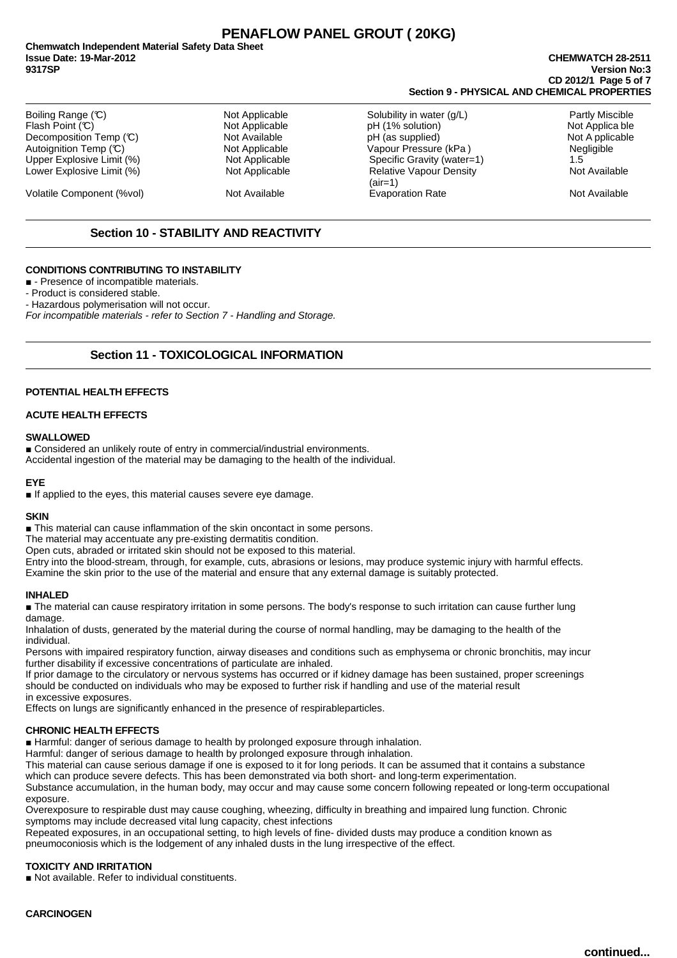# **PENAFLOW PANEL GROUT ( 20KG)**

**Chemwatch Independent Material Safety Data Sheet Issue Date: 19-Mar-2012 CHEMWATCH 28-2511 9317SP Version No:3**

# **CD 2012/1 Page 5 of 7 Section 9 - PHYSICAL AND CHEMICAL PROPERTIES**

| Boiling Range (C)<br>Flash Point (C)<br>Decomposition Temp (C)<br>Autoignition Temp (°C)<br>Upper Explosive Limit (%) | Not Applicable<br>Not Applicable<br>Not Available<br>Not Applicable<br>Not Applicable | Solubility in water (g/L)<br>pH (1% solution)<br>pH (as supplied)<br>Vapour Pressure (kPa)<br>Specific Gravity (water=1) | <b>Partly Miscible</b><br>Not Applica ble<br>Not A pplicable<br><b>Negligible</b><br>1.5 |
|-----------------------------------------------------------------------------------------------------------------------|---------------------------------------------------------------------------------------|--------------------------------------------------------------------------------------------------------------------------|------------------------------------------------------------------------------------------|
| Lower Explosive Limit (%)                                                                                             | Not Applicable                                                                        | <b>Relative Vapour Density</b><br>$(air=1)$                                                                              | Not Available                                                                            |
| Volatile Component (%vol)                                                                                             | Not Available                                                                         | <b>Evaporation Rate</b>                                                                                                  | Not Available                                                                            |

## **Section 10 - STABILITY AND REACTIVITY**

#### **CONDITIONS CONTRIBUTING TO INSTABILITY**

■ - Presence of incompatible materials.

- Product is considered stable.

- Hazardous polymerisation will not occur.

For incompatible materials - refer to Section 7 - Handling and Storage.

## **Section 11 - TOXICOLOGICAL INFORMATION**

#### **POTENTIAL HEALTH EFFECTS**

#### **ACUTE HEALTH EFFECTS**

#### **SWALLOWED**

■ Considered an unlikely route of entry in commercial/industrial environments. Accidental ingestion of the material may be damaging to the health of the individual.

#### **EYE**

■ If applied to the eyes, this material causes severe eye damage.

#### **SKIN**

■ This material can cause inflammation of the skin oncontact in some persons.

The material may accentuate any pre-existing dermatitis condition.

Open cuts, abraded or irritated skin should not be exposed to this material.

Entry into the blood-stream, through, for example, cuts, abrasions or lesions, may produce systemic injury with harmful effects. Examine the skin prior to the use of the material and ensure that any external damage is suitably protected.

#### **INHALED**

■ The material can cause respiratory irritation in some persons. The body's response to such irritation can cause further lung damage.

Inhalation of dusts, generated by the material during the course of normal handling, may be damaging to the health of the individual.

Persons with impaired respiratory function, airway diseases and conditions such as emphysema or chronic bronchitis, may incur further disability if excessive concentrations of particulate are inhaled.

If prior damage to the circulatory or nervous systems has occurred or if kidney damage has been sustained, proper screenings should be conducted on individuals who may be exposed to further risk if handling and use of the material result in excessive exposures.

Effects on lungs are significantly enhanced in the presence of respirableparticles.

#### **CHRONIC HEALTH EFFECTS**

■ Harmful: danger of serious damage to health by prolonged exposure through inhalation.

Harmful: danger of serious damage to health by prolonged exposure through inhalation.

This material can cause serious damage if one is exposed to it for long periods. It can be assumed that it contains a substance which can produce severe defects. This has been demonstrated via both short- and long-term experimentation.

Substance accumulation, in the human body, may occur and may cause some concern following repeated or long-term occupational exposure.

Overexposure to respirable dust may cause coughing, wheezing, difficulty in breathing and impaired lung function. Chronic symptoms may include decreased vital lung capacity, chest infections

Repeated exposures, in an occupational setting, to high levels of fine- divided dusts may produce a condition known as pneumoconiosis which is the lodgement of any inhaled dusts in the lung irrespective of the effect.

## **TOXICITY AND IRRITATION**

■ Not available. Refer to individual constituents.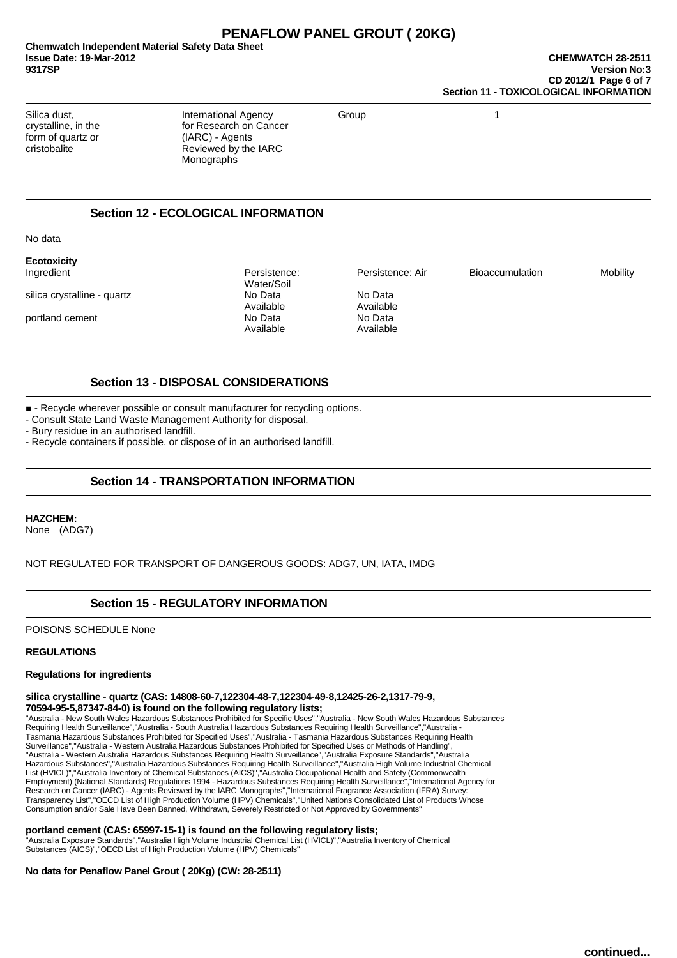# **PENAFLOW PANEL GROUT ( 20KG)**

**Chemwatch Independent Material Safety Data Sheet Issue Date: 19-Mar-2012 CHEMWATCH 28-2511 9317SP Version No:3**

form of quartz or (IARC) - Agents<br>
cristobalite Reviewed by the

Silica dust, **International Agency** Group 1 crystalline, in the for Research on Cancer Reviewed by the IARC Monographs

## **Section 12 - ECOLOGICAL INFORMATION**

No data

**Ecotoxicity**

silica crystalline - quartz  $\overline{N}$  No Data  $\overline{N}$  No Data  $\overline{N}$  No Data

Ingredient Persistence: Persistence: Air Bioaccumulation Mobility Water/Soil<br>No Data Available Available portland cement No Data No Data No Data<br>Available Available Available

Available

## **Section 13 - DISPOSAL CONSIDERATIONS**

■ - Recycle wherever possible or consult manufacturer for recycling options.

- Consult State Land Waste Management Authority for disposal.

- Bury residue in an authorised landfill.

- Recycle containers if possible, or dispose of in an authorised landfill.

## **Section 14 - TRANSPORTATION INFORMATION**

**HAZCHEM:** 

None (ADG7)

NOT REGULATED FOR TRANSPORT OF DANGEROUS GOODS: ADG7, UN, IATA, IMDG

## **Section 15 - REGULATORY INFORMATION**

POISONS SCHEDULE None

#### **REGULATIONS**

#### **Regulations for ingredients**

#### **silica crystalline - quartz (CAS: 14808-60-7,122304-48-7,122304-49-8,12425-26-2,1317-79-9, 70594-95-5,87347-84-0) is found on the following regulatory lists;**

"Australia - New South Wales Hazardous Substances Prohibited for Specific Uses","Australia - New South Wales Hazardous Substances Requiring Health Surveillance","Australia - South Australia Hazardous Substances Requiring Health Surveillance","Australia - Tasmania Hazardous Substances Prohibited for Specified Uses","Australia - Tasmania Hazardous Substances Requiring Health Surveillance","Australia - Western Australia Hazardous Substances Prohibited for Specified Uses or Methods of Handling",<br>"Australia - Western Australia Hazardous Substances Requiring Health Surveillance","Australia Exposur Hazardous Substances","Australia Hazardous Substances Requiring Health Surveillance","Australia High Volume Industrial Chemical List (HVICL)","Australia Inventory of Chemical Substances (AICS)","Australia Occupational Health and Safety (Commonwealth<br>Employment) (National Standards) Regulations 1994 - Hazardous Substances Requiring Health Surveillan Research on Cancer (IARC) - Agents Reviewed by the IARC Monographs","International Fragrance Association (IFRA) Survey: Transparency List","OECD List of High Production Volume (HPV) Chemicals","United Nations Consolidated List of Products Whose Consumption and/or Sale Have Been Banned, Withdrawn, Severely Restricted or Not Approved by Governments"

#### **portland cement (CAS: 65997-15-1) is found on the following regulatory lists;**

"Australia Exposure Standards","Australia High Volume Industrial Chemical List (HVICL)","Australia Inventory of Chemical Substances (AICS)","OECD List of High Production Volume (HPV) Chemicals"

#### **No data for Penaflow Panel Grout ( 20Kg) (CW: 28-2511)**

**continued...**